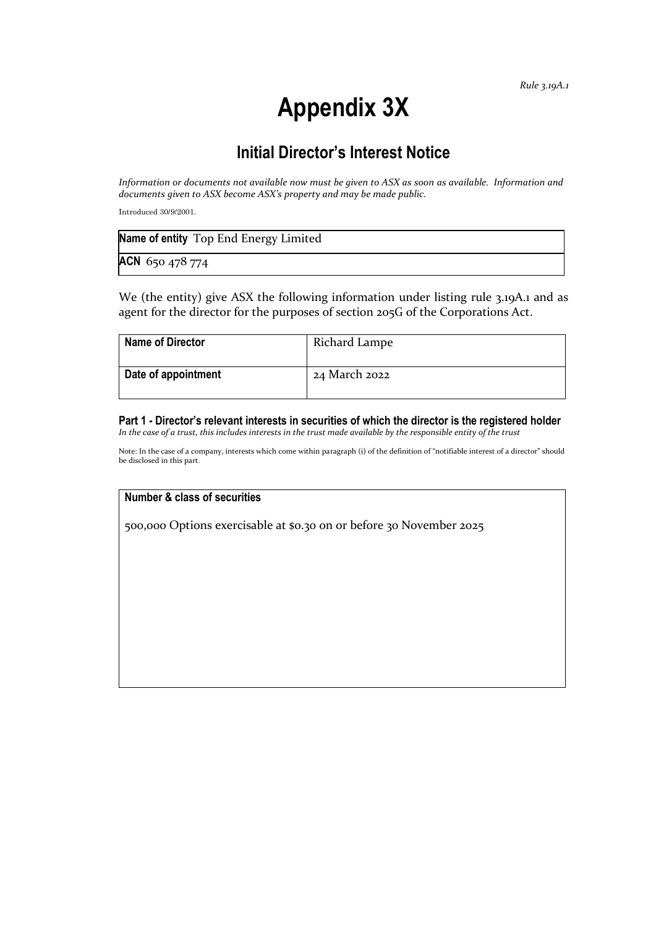# **Appendix 3X**

## **Initial Director's Interest Notice**

*Information or documents not available now must be given to ASX as soon as available. Information and documents given to ASX become ASX's property and may be made public.*

Introduced 30/9/2001.

| Name of entity Top End Energy Limited |  |
|---------------------------------------|--|
| ACN 650 478 774                       |  |

We (the entity) give ASX the following information under listing rule 3.19A.1 and as agent for the director for the purposes of section 205G of the Corporations Act.

| <b>Name of Director</b> | Richard Lampe |
|-------------------------|---------------|
| Date of appointment     | 24 March 2022 |

**Part 1 - Director's relevant interests in securities of which the director is the registered holder** *In the case of a trust, this includes interests in the trust made available by the responsible entity of the trust*

Note: In the case of a company, interests which come within paragraph (i) of the definition of "notifiable interest of a director" should be disclosed in this part.

#### **Number & class of securities**

500,000 Options exercisable at \$0.30 on or before 30 November 2025